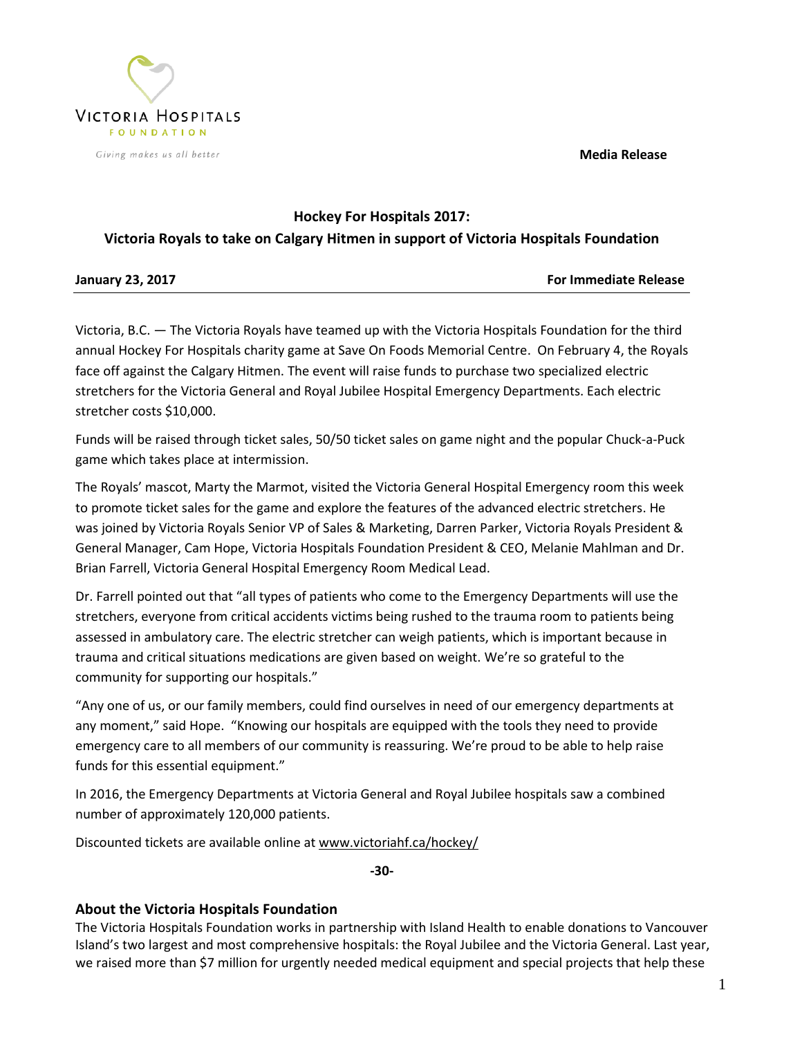**Media Release**



## **Hockey For Hospitals 2017: Victoria Royals to take on Calgary Hitmen in support of Victoria Hospitals Foundation**

| <b>January 23, 2017</b> | <b>For Immediate Release</b> |
|-------------------------|------------------------------|

Victoria, B.C. — The Victoria Royals have teamed up with the Victoria Hospitals Foundation for the third annual Hockey For Hospitals charity game at Save On Foods Memorial Centre. On February 4, the Royals face off against the Calgary Hitmen. The event will raise funds to purchase two specialized electric stretchers for the Victoria General and Royal Jubilee Hospital Emergency Departments. Each electric stretcher costs \$10,000.

Funds will be raised through ticket sales, 50/50 ticket sales on game night and the popular Chuck-a-Puck game which takes place at intermission.

The Royals' mascot, Marty the Marmot, visited the Victoria General Hospital Emergency room this week to promote ticket sales for the game and explore the features of the advanced electric stretchers. He was joined by Victoria Royals Senior VP of Sales & Marketing, Darren Parker, Victoria Royals President & General Manager, Cam Hope, Victoria Hospitals Foundation President & CEO, Melanie Mahlman and Dr. Brian Farrell, Victoria General Hospital Emergency Room Medical Lead.

Dr. Farrell pointed out that "all types of patients who come to the Emergency Departments will use the stretchers, everyone from critical accidents victims being rushed to the trauma room to patients being assessed in ambulatory care. The electric stretcher can weigh patients, which is important because in trauma and critical situations medications are given based on weight. We're so grateful to the community for supporting our hospitals."

"Any one of us, or our family members, could find ourselves in need of our emergency departments at any moment," said Hope. "Knowing our hospitals are equipped with the tools they need to provide emergency care to all members of our community is reassuring. We're proud to be able to help raise funds for this essential equipment."

In 2016, the Emergency Departments at Victoria General and Royal Jubilee hospitals saw a combined number of approximately 120,000 patients.

Discounted tickets are available online at www.victoriahf.ca/hockey/

**-30-**

## **About the Victoria Hospitals Foundation**

The Victoria Hospitals Foundation works in partnership with Island Health to enable donations to Vancouver Island's two largest and most comprehensive hospitals: the Royal Jubilee and the Victoria General. Last year, we raised more than \$7 million for urgently needed medical equipment and special projects that help these